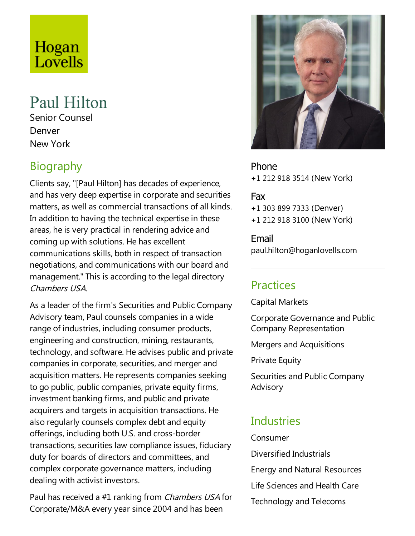# Hogan Lovells

## Paul Hilton

Senior Counsel Denver New York

## **Biography**

Clients say, "[Paul Hilton] has decades of experience, and has very deep expertise in corporate and securities matters, as well as commercial transactions of all kinds. In addition to having the technical expertise in these areas, he is very practical in rendering advice and coming up with solutions. He has excellent communications skills, both in respect of transaction negotiations, and communications with our board and management." This is according to the legal directory Chambers USA.

As a leader of the firm's Securities and Public Company Advisory team, Paul counsels companies in a wide range of industries, including consumer products, engineering and construction, mining, restaurants, technology, and software. He advises public and private companies in corporate, securities, and merger and acquisition matters. He represents companies seeking to go public, public companies, private equity firms, investment banking firms, and public and private acquirers and targets in acquisition transactions. He also regularly counsels complex debt and equity offerings, including both U.S.and cross-border transactions, securities law compliance issues, fiduciary duty for boards of directors and committees, and complex corporate governance matters, including dealing with activist investors.

Paul has received a #1 ranking from *Chambers USA* for Corporate/M&A every year since 2004 and has been



Phone +1 212 918 3514 (New York)

Fax +1 303 899 7333 (Denver) +1 212 918 3100 (New York)

Email paul.hilton@hoganlovells.com

## Practices

Capital Markets

Corporate Governance and Public Company Representation

Mergers and Acquisitions

**Private Equity** 

Securities and Public Company Advisory

## **Industries**

Consumer

Diversified Industrials

Energy and Natural Resources

Life Sciences and Health Care

Technology and Telecoms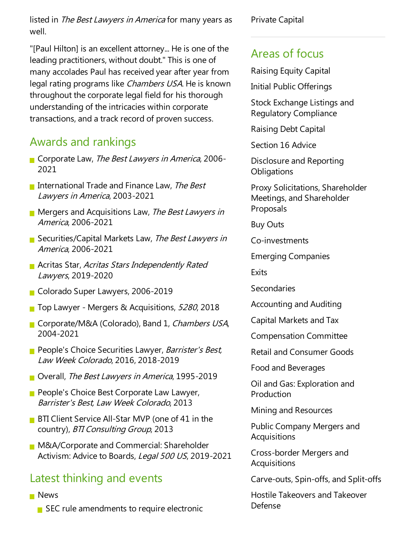listed in The Best Lawyers in America for many years as well.

"[Paul Hilton] is an excellent attorney... He is one of the leading practitioners, without doubt."This is one of many accolades Paul has received year after year from legal rating programs like Chambers USA. He is known throughout the corporate legal field for his thorough understanding of the intricacies within corporate transactions, and a track record of proven success.

## Awards and rankings

- Corporate Law, The Best Lawyers in America, 2006-2021
- International Trade and Finance Law, The Best Lawyers in America, 2003-2021
- **Mergers and Acquisitions Law, The Best Lawyers in** America, 2006-2021
- Securities/Capital Markets Law, The Best Lawyers in America, 2006-2021
- **Acritas Star, Acritas Stars Independently Rated** Lawyers, 2019-2020
- Colorado Super Lawyers, 2006-2019
- Top Lawyer Mergers & Acquisitions, 5280, 2018
- Corporate/M&A (Colorado), Band 1, Chambers USA, 2004-2021
- **People's Choice Securities Lawyer, Barrister's Best,** Law Week Colorado, 2016, 2018-2019
- Overall, The Best Lawyers in America, 1995-2019
- **People's Choice Best Corporate Law Lawyer,** Barrister's Best, Law Week Colorado, 2013
- **BTI Client Service All-Star MVP (one of 41 in the** country), BTI Consulting Group, 2013
- **M&A/Corporate and Commercial: Shareholder** Activism: Advice to Boards, Legal 500 US, 2019-2021

#### Latest thinking and events

- **News** 
	- $\blacksquare$  SEC rule amendments to require electronic

Private Capital

#### Areas of focus

Raising Equity Capital

Initial Public Offerings

Stock Exchange Listings and Regulatory Compliance

Raising Debt Capital

Section 16 Advice

Disclosure and Reporting **Obligations** 

Proxy Solicitations, Shareholder Meetings, and Shareholder Proposals

Buy Outs

Co-investments

Emerging Companies

**Fxits** 

Secondaries

Accounting and Auditing

Capital Markets and Tax

Compensation Committee

Retail and Consumer Goods

Food and Beverages

Oil and Gas:Exploration and Production

Mining and Resources

Public Company Mergers and **Acquisitions** 

Cross-border Mergers and Acquisitions

Carve-outs, Spin-offs,and Split-offs

Hostile Takeovers and Takeover Defense